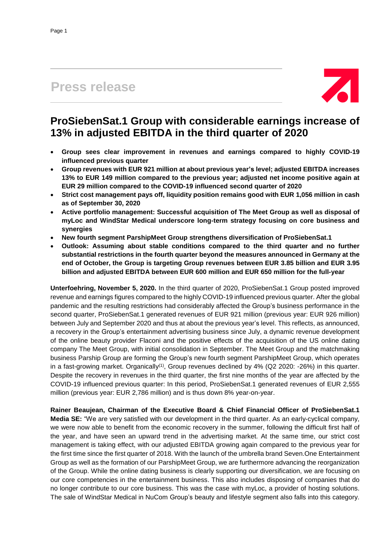# **Press release**



## **ProSiebenSat.1 Group with considerable earnings increase of 13% in adjusted EBITDA in the third quarter of 2020**

- **Group sees clear improvement in revenues and earnings compared to highly COVID-19 influenced previous quarter**
- **Group revenues with EUR 921 million at about previous year's level; adjusted EBITDA increases 13% to EUR 149 million compared to the previous year; adjusted net income positive again at EUR 29 million compared to the COVID-19 influenced second quarter of 2020**
- **Strict cost management pays off, liquidity position remains good with EUR 1,056 million in cash as of September 30, 2020**
- **Active portfolio management: Successful acquisition of The Meet Group as well as disposal of myLoc and WindStar Medical underscore long-term strategy focusing on core business and synergies**
- **New fourth segment ParshipMeet Group strengthens diversification of ProSiebenSat.1**
- **Outlook: Assuming about stable conditions compared to the third quarter and no further substantial restrictions in the fourth quarter beyond the measures announced in Germany at the end of October, the Group is targeting Group revenues between EUR 3.85 billion and EUR 3.95 billion and adjusted EBITDA between EUR 600 million and EUR 650 million for the full-year**

**Unterfoehring, November 5, 2020.** In the third quarter of 2020, ProSiebenSat.1 Group posted improved revenue and earnings figures compared to the highly COVID-19 influenced previous quarter. After the global pandemic and the resulting restrictions had considerably affected the Group's business performance in the second quarter, ProSiebenSat.1 generated revenues of EUR 921 million (previous year: EUR 926 million) between July and September 2020 and thus at about the previous year's level. This reflects, as announced, a recovery in the Group's entertainment advertising business since July, a dynamic revenue development of the online beauty provider Flaconi and the positive effects of the acquisition of the US online dating company The Meet Group, with initial consolidation in September. The Meet Group and the matchmaking business Parship Group are forming the Group's new fourth segment ParshipMeet Group, which operates in a fast-growing market. Organically<sup>(1)</sup>, Group revenues declined by 4% (Q2 2020: -26%) in this quarter. Despite the recovery in revenues in the third quarter, the first nine months of the year are affected by the COVID-19 influenced previous quarter: In this period, ProSiebenSat.1 generated revenues of EUR 2,555 million (previous year: EUR 2,786 million) and is thus down 8% year-on-year.

**Rainer Beaujean, Chairman of the Executive Board & Chief Financial Officer of ProSiebenSat.1 Media SE:** "We are very satisfied with our development in the third quarter. As an early-cyclical company, we were now able to benefit from the economic recovery in the summer, following the difficult first half of the year, and have seen an upward trend in the advertising market. At the same time, our strict cost management is taking effect, with our adjusted EBITDA growing again compared to the previous year for the first time since the first quarter of 2018. With the launch of the umbrella brand Seven.One Entertainment Group as well as the formation of our ParshipMeet Group, we are furthermore advancing the reorganization of the Group. While the online dating business is clearly supporting our diversification, we are focusing on our core competencies in the entertainment business. This also includes disposing of companies that do no longer contribute to our core business. This was the case with myLoc, a provider of hosting solutions. The sale of WindStar Medical in NuCom Group's beauty and lifestyle segment also falls into this category.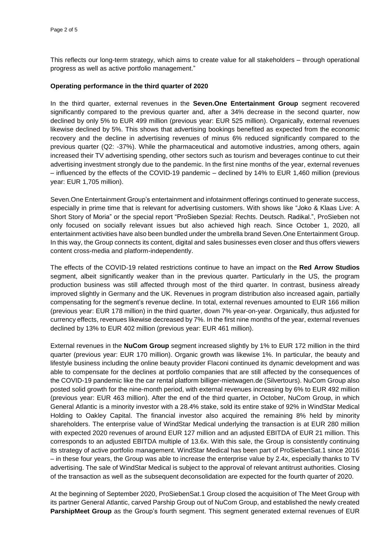This reflects our long-term strategy, which aims to create value for all stakeholders – through operational progress as well as active portfolio management."

## **Operating performance in the third quarter of 2020**

In the third quarter, external revenues in the **Seven.One Entertainment Group** segment recovered significantly compared to the previous quarter and, after a 34% decrease in the second quarter, now declined by only 5% to EUR 499 million (previous year: EUR 525 million). Organically, external revenues likewise declined by 5%. This shows that advertising bookings benefited as expected from the economic recovery and the decline in advertising revenues of minus 6% reduced significantly compared to the previous quarter (Q2: -37%). While the pharmaceutical and automotive industries, among others, again increased their TV advertising spending, other sectors such as tourism and beverages continue to cut their advertising investment strongly due to the pandemic. In the first nine months of the year, external revenues – influenced by the effects of the COVID-19 pandemic – declined by 14% to EUR 1,460 million (previous year: EUR 1,705 million).

Seven.One Entertainment Group's entertainment and infotainment offerings continued to generate success, especially in prime time that is relevant for advertising customers. With shows like "Joko & Klaas Live: A Short Story of Moria" or the special report "ProSieben Spezial: Rechts. Deutsch. Radikal.", ProSieben not only focused on socially relevant issues but also achieved high reach. Since October 1, 2020, all entertainment activities have also been bundled under the umbrella brand Seven.One Entertainment Group. In this way, the Group connects its content, digital and sales businesses even closer and thus offers viewers content cross-media and platform-independently.

The effects of the COVID-19 related restrictions continue to have an impact on the **Red Arrow Studios** segment, albeit significantly weaker than in the previous quarter. Particularly in the US, the program production business was still affected through most of the third quarter. In contrast, business already improved slightly in Germany and the UK. Revenues in program distribution also increased again, partially compensating for the segment's revenue decline. In total, external revenues amounted to EUR 166 million (previous year: EUR 178 million) in the third quarter, down 7% year-on-year. Organically, thus adjusted for currency effects, revenues likewise decreased by 7%. In the first nine months of the year, external revenues declined by 13% to EUR 402 million (previous year: EUR 461 million).

External revenues in the **NuCom Group** segment increased slightly by 1% to EUR 172 million in the third quarter (previous year: EUR 170 million). Organic growth was likewise 1%. In particular, the beauty and lifestyle business including the online beauty provider Flaconi continued its dynamic development and was able to compensate for the declines at portfolio companies that are still affected by the consequences of the COVID-19 pandemic like the car rental platform billiger-mietwagen.de (Silvertours). NuCom Group also posted solid growth for the nine-month period, with external revenues increasing by 6% to EUR 492 million (previous year: EUR 463 million). After the end of the third quarter, in October, NuCom Group, in which General Atlantic is a minority investor with a 28.4% stake, sold its entire stake of 92% in WindStar Medical Holding to Oakley Capital. The financial investor also acquired the remaining 8% held by minority shareholders. The enterprise value of WindStar Medical underlying the transaction is at EUR 280 million with expected 2020 revenues of around EUR 127 million and an adjusted EBITDA of EUR 21 million. This corresponds to an adjusted EBITDA multiple of 13.6x. With this sale, the Group is consistently continuing its strategy of active portfolio management. WindStar Medical has been part of ProSiebenSat.1 since 2016 – in these four years, the Group was able to increase the enterprise value by 2.4x, especially thanks to TV advertising. The sale of WindStar Medical is subject to the approval of relevant antitrust authorities. Closing of the transaction as well as the subsequent deconsolidation are expected for the fourth quarter of 2020.

At the beginning of September 2020, ProSiebenSat.1 Group closed the acquisition of The Meet Group with its partner General Atlantic, carved Parship Group out of NuCom Group, and established the newly created **ParshipMeet Group** as the Group's fourth segment. This segment generated external revenues of EUR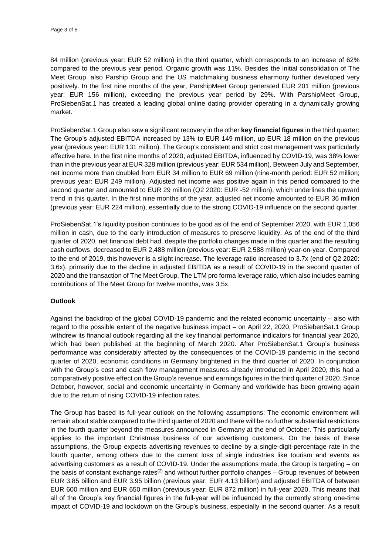84 million (previous year: EUR 52 million) in the third quarter, which corresponds to an increase of 62% compared to the previous year period. Organic growth was 11%. Besides the initial consolidation of The Meet Group, also Parship Group and the US matchmaking business eharmony further developed very positively. In the first nine months of the year, ParshipMeet Group generated EUR 201 million (previous year: EUR 156 million), exceeding the previous year period by 29%. With ParshipMeet Group, ProSiebenSat.1 has created a leading global online dating provider operating in a dynamically growing market.

ProSiebenSat.1 Group also saw a significant recovery in the other **key financial figures** in the third quarter: The Group's adjusted EBITDA increased by 13% to EUR 149 million, up EUR 18 million on the previous year (previous year: EUR 131 million). The Group's consistent and strict cost management was particularly effective here. In the first nine months of 2020, adjusted EBITDA, influenced by COVID-19, was 38% lower than in the previous year at EUR 328 million (previous year: EUR 534 million). Between July and September, net income more than doubled from EUR 34 million to EUR 69 million (nine-month period: EUR 52 million; previous year: EUR 249 million). Adjusted net income was positive again in this period compared to the second quarter and amounted to EUR 29 million (Q2 2020: EUR -52 million), which underlines the upward trend in this quarter. In the first nine months of the year, adjusted net income amounted to EUR 36 million (previous year: EUR 224 million), essentially due to the strong COVID-19 influence on the second quarter.

ProSiebenSat.1's liquidity position continues to be good as of the end of September 2020, with EUR 1,056 million in cash, due to the early introduction of measures to preserve liquidity. As of the end of the third quarter of 2020, net financial debt had, despite the portfolio changes made in this quarter and the resulting cash outflows, decreased to EUR 2,488 million (previous year: EUR 2,588 million) year-on-year. Compared to the end of 2019, this however is a slight increase. The leverage ratio increased to 3.7x (end of Q2 2020: 3.6x), primarily due to the decline in adjusted EBITDA as a result of COVID-19 in the second quarter of 2020 and the transaction of The Meet Group. The LTM pro forma leverage ratio, which also includes earning contributions of The Meet Group for twelve months, was 3.5x.

## **Outlook**

Against the backdrop of the global COVID-19 pandemic and the related economic uncertainty – also with regard to the possible extent of the negative business impact – on April 22, 2020, ProSiebenSat.1 Group withdrew its financial outlook regarding all the key financial performance indicators for financial year 2020, which had been published at the beginning of March 2020. After ProSiebenSat.1 Group's business performance was considerably affected by the consequences of the COVID-19 pandemic in the second quarter of 2020, economic conditions in Germany brightened in the third quarter of 2020. In conjunction with the Group's cost and cash flow management measures already introduced in April 2020, this had a comparatively positive effect on the Group's revenue and earnings figures in the third quarter of 2020. Since October, however, social and economic uncertainty in Germany and worldwide has been growing again due to the return of rising COVID-19 infection rates.

The Group has based its full-year outlook on the following assumptions: The economic environment will remain about stable compared to the third quarter of 2020 and there will be no further substantial restrictions in the fourth quarter beyond the measures announced in Germany at the end of October. This particularly applies to the important Christmas business of our advertising customers. On the basis of these assumptions, the Group expects advertising revenues to decline by a single-digit-percentage rate in the fourth quarter, among others due to the current loss of single industries like tourism and events as advertising customers as a result of COVID-19. Under the assumptions made, the Group is targeting – on the basis of constant exchange rates<sup>(2)</sup> and without further portfolio changes – Group revenues of between EUR 3.85 billion and EUR 3.95 billion (previous year: EUR 4.13 billion) and adjusted EBITDA of between EUR 600 million and EUR 650 million (previous year: EUR 872 million) in full-year 2020. This means that all of the Group's key financial figures in the full-year will be influenced by the currently strong one-time impact of COVID-19 and lockdown on the Group's business, especially in the second quarter. As a result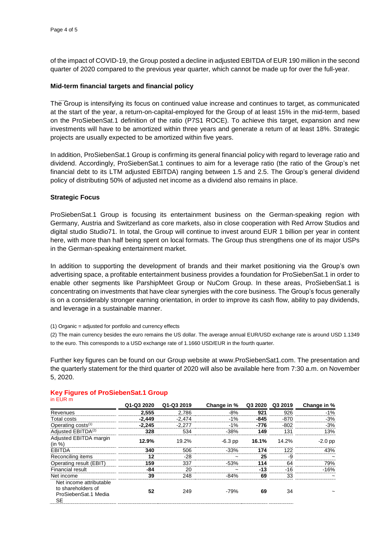of the impact of COVID-19, the Group posted a decline in adjusted EBITDA of EUR 190 million in the second quarter of 2020 compared to the previous year quarter, which cannot be made up for over the full-year.

## **Mid-term financial targets and financial policy**

The Group is intensifying its focus on continued value increase and continues to target, as communicated at the start of the year, a return-on-capital-employed for the Group of at least 15% in the mid-term, based on the ProSiebenSat.1 definition of the ratio (P7S1 ROCE). To achieve this target, expansion and new investments will have to be amortized within three years and generate a return of at least 18%. Strategic projects are usually expected to be amortized within five years.

In addition, ProSiebenSat.1 Group is confirming its general financial policy with regard to leverage ratio and dividend. Accordingly, ProSiebenSat.1 continues to aim for a leverage ratio (the ratio of the Group's net financial debt to its LTM adjusted EBITDA) ranging between 1.5 and 2.5. The Group's general dividend policy of distributing 50% of adjusted net income as a dividend also remains in place.

## **Strategic Focus**

ProSiebenSat.1 Group is focusing its entertainment business on the German-speaking region with Germany, Austria and Switzerland as core markets, also in close cooperation with Red Arrow Studios and digital studio Studio71. In total, the Group will continue to invest around EUR 1 billion per year in content here, with more than half being spent on local formats. The Group thus strengthens one of its major USPs in the German-speaking entertainment market.

In addition to supporting the development of brands and their market positioning via the Group's own advertising space, a profitable entertainment business provides a foundation for ProSiebenSat.1 in order to enable other segments like ParshipMeet Group or NuCom Group. In these areas, ProSiebenSat.1 is concentrating on investments that have clear synergies with the core business. The Group's focus generally is on a considerably stronger earning orientation, in order to improve its cash flow, ability to pay dividends, and leverage in a sustainable manner.

(1) Organic = adjusted for portfolio and currency effects

(2) The main currency besides the euro remains the US dollar. The average annual EUR/USD exchange rate is around USD 1.1349 to the euro. This corresponds to a USD exchange rate of 1.1660 USD/EUR in the fourth quarter.

Further key figures can be found on our Group website at www.ProSiebenSat1.com. The presentation and the quarterly statement for the third quarter of 2020 will also be available here from 7:30 a.m. on November 5, 2020.

| $111$ LUN $111$                                                             |            |            |             |         |         |             |
|-----------------------------------------------------------------------------|------------|------------|-------------|---------|---------|-------------|
|                                                                             | Q1-Q3 2020 | Q1-Q3 2019 | Change in % | Q3 2020 | Q3 2019 | Change in % |
| Revenues                                                                    | 2.555      | 2.786      | $-8%$       | 921     | 926     | $-1\%$      |
| Total costs                                                                 | $-2.449$   | $-2.474$   | $-1\%$      | $-845$  | -870    | $-3%$       |
| Operating costs <sup>(1)</sup>                                              | $-2.245$   | $-2.277$   | $-1%$       | $-776$  | $-802$  | $-3%$       |
| Adiusted EBITDA <sup>(2)</sup>                                              | 328        | 534        | $-38%$      | 149     | 131     | 13%         |
| Adjusted EBITDA margin<br>(in %)                                            | 12.9%      | 19.2%      | $-6.3$ pp   | 16.1%   | 14.2%   | $-2.0$ pp   |
| <b>EBITDA</b>                                                               | 340        | 506        | $-33%$      | 174     | 122     | 43%         |
| Reconciling items                                                           | 12         | -28        |             | 25      | -9      |             |
| Operating result (EBIT)                                                     | 159        | 337        | $-53%$      | 114     | 64      | 79%         |
| <b>Financial result</b>                                                     | -84        | 20         |             | -13     | -16     | $-16%$      |
| Net income                                                                  | 39         | 248        | $-84%$      | 69      | 33      |             |
| Net income attributable<br>to shareholders of<br>ProSiebenSat.1 Media<br>SE | 52         | 249        | $-79%$      | 69      | 34      |             |

#### **Key Figures of ProSiebenSat.1 Group**  $in$  EUR  $n$